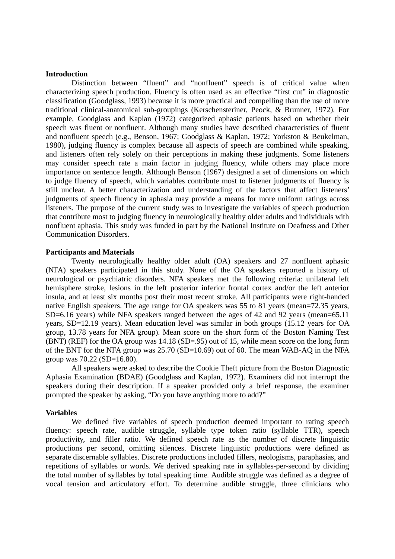### **Introduction**

Distinction between "fluent" and "nonfluent" speech is of critical value when characterizing speech production. Fluency is often used as an effective "first cut" in diagnostic classification (Goodglass, 1993) because it is more practical and compelling than the use of more traditional clinical-anatomical sub-groupings (Kerschensteriner, Peock, & Brunner, 1972). For example, Goodglass and Kaplan (1972) categorized aphasic patients based on whether their speech was fluent or nonfluent. Although many studies have described characteristics of fluent and nonfluent speech (e.g., Benson, 1967; Goodglass & Kaplan, 1972; Yorkston & Beukelman, 1980), judging fluency is complex because all aspects of speech are combined while speaking, and listeners often rely solely on their perceptions in making these judgments. Some listeners may consider speech rate a main factor in judging fluency, while others may place more importance on sentence length. Although Benson (1967) designed a set of dimensions on which to judge fluency of speech, which variables contribute most to listener judgments of fluency is still unclear. A better characterization and understanding of the factors that affect listeners' judgments of speech fluency in aphasia may provide a means for more uniform ratings across listeners. The purpose of the current study was to investigate the variables of speech production that contribute most to judging fluency in neurologically healthy older adults and individuals with nonfluent aphasia. This study was funded in part by the National Institute on Deafness and Other Communication Disorders.

### **Participants and Materials**

Twenty neurologically healthy older adult (OA) speakers and 27 nonfluent aphasic (NFA) speakers participated in this study. None of the OA speakers reported a history of neurological or psychiatric disorders. NFA speakers met the following criteria: unilateral left hemisphere stroke, lesions in the left posterior inferior frontal cortex and/or the left anterior insula, and at least six months post their most recent stroke. All participants were right-handed native English speakers. The age range for OA speakers was 55 to 81 years (mean=72.35 years, SD=6.16 years) while NFA speakers ranged between the ages of 42 and 92 years (mean=65.11 years, SD=12.19 years). Mean education level was similar in both groups (15.12 years for OA group, 13.78 years for NFA group). Mean score on the short form of the Boston Naming Test (BNT) (REF) for the OA group was 14.18 (SD=.95) out of 15, while mean score on the long form of the BNT for the NFA group was 25.70 (SD=10.69) out of 60. The mean WAB-AQ in the NFA group was 70.22 (SD=16.80).

All speakers were asked to describe the Cookie Theft picture from the Boston Diagnostic Aphasia Examination (BDAE) (Goodglass and Kaplan, 1972). Examiners did not interrupt the speakers during their description. If a speaker provided only a brief response, the examiner prompted the speaker by asking, "Do you have anything more to add?"

#### **Variables**

We defined five variables of speech production deemed important to rating speech fluency: speech rate, audible struggle, syllable type token ratio (syllable TTR), speech productivity, and filler ratio. We defined speech rate as the number of discrete linguistic productions per second, omitting silences. Discrete linguistic productions were defined as separate discernable syllables. Discrete productions included fillers, neologisms, paraphasias, and repetitions of syllables or words. We derived speaking rate in syllables-per-second by dividing the total number of syllables by total speaking time. Audible struggle was defined as a degree of vocal tension and articulatory effort. To determine audible struggle, three clinicians who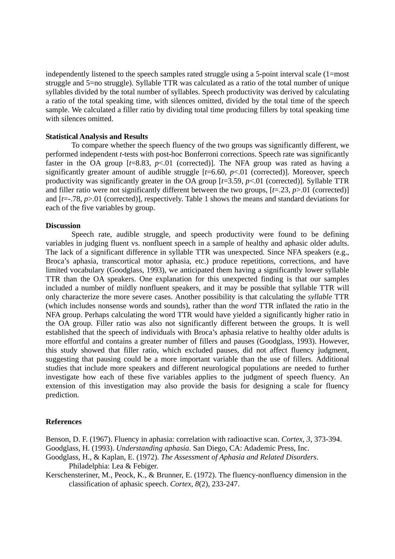independently listened to the speech samples rated struggle using a 5-point interval scale (1=most struggle and 5=no struggle). Syllable TTR was calculated as a ratio of the total number of unique syllables divided by the total number of syllables. Speech productivity was derived by calculating a ratio of the total speaking time, with silences omitted, divided by the total time of the speech sample. We calculated a filler ratio by dividing total time producing fillers by total speaking time with silences omitted.

# **Statistical Analysis and Results**

To compare whether the speech fluency of the two groups was significantly different, we performed independent *t*-tests with post-hoc Bonferroni corrections. Speech rate was significantly faster in the OA group  $[t=8.83, p<0.01$  (corrected)]. The NFA group was rated as having a significantly greater amount of audible struggle  $[t=6.60, p<.01$  (corrected)]. Moreover, speech productivity was significantly greater in the OA group [*t*=3.59, *p*<.01 (corrected)]. Syllable TTR and filler ratio were not significantly different between the two groups, [*t*=.23, *p*>.01 (corrected)] and [*t*=-.78, *p*>.01 (corrected)], respectively. Table 1 shows the means and standard deviations for each of the five variables by group.

## **Discussion**

 Speech rate, audible struggle, and speech productivity were found to be defining variables in judging fluent vs. nonfluent speech in a sample of healthy and aphasic older adults. The lack of a significant difference in syllable TTR was unexpected. Since NFA speakers (e.g., Broca's aphasia, transcortical motor aphasia, etc.) produce repetitions, corrections, and have limited vocabulary (Goodglass, 1993), we anticipated them having a significantly lower syllable TTR than the OA speakers. One explanation for this unexpected finding is that our samples included a number of mildly nonfluent speakers, and it may be possible that syllable TTR will only characterize the more severe cases. Another possibility is that calculating the *syllable* TTR (which includes nonsense words and sounds), rather than the *word* TTR inflated the ratio in the NFA group. Perhaps calculating the word TTR would have yielded a significantly higher ratio in the OA group. Filler ratio was also not significantly different between the groups. It is well established that the speech of individuals with Broca's aphasia relative to healthy older adults is more effortful and contains a greater number of fillers and pauses (Goodglass, 1993). However, this study showed that filler ratio, which excluded pauses, did not affect fluency judgment, suggesting that pausing could be a more important variable than the use of fillers. Additional studies that include more speakers and different neurological populations are needed to further investigate how each of these five variables applies to the judgment of speech fluency. An extension of this investigation may also provide the basis for designing a scale for fluency prediction.

## **References**

Benson, D. F. (1967). Fluency in aphasia: correlation with radioactive scan. *Cortex, 3*, 373-394. Goodglass, H. (1993). *Understanding aphasia*. San Diego, CA: Adademic Press, Inc. Goodglass, H., & Kaplan, E. (1972). *The Assessment of Aphasia and Related Disorders*.

Philadelphia: Lea & Febiger.

Kerschensteriner, M., Peock, K., & Brunner, E. (1972). The fluency-nonfluency dimension in the classification of aphasic speech. *Cortex, 8*(2), 233-247.